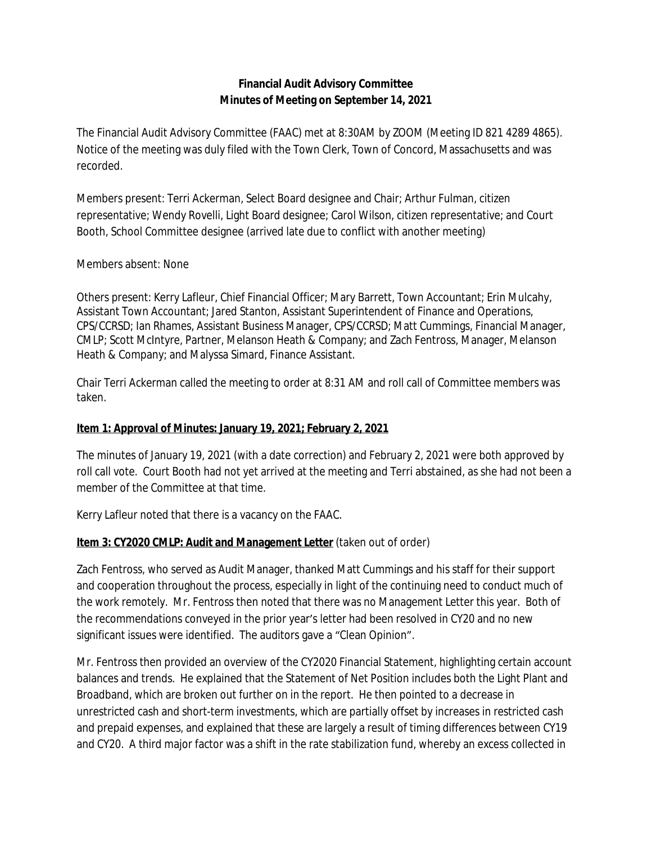# **Financial Audit Advisory Committee Minutes of Meeting on September 14, 2021**

The Financial Audit Advisory Committee (FAAC) met at 8:30AM by ZOOM (Meeting ID 821 4289 4865). Notice of the meeting was duly filed with the Town Clerk, Town of Concord, Massachusetts and was recorded.

Members present: Terri Ackerman, Select Board designee and Chair; Arthur Fulman, citizen representative; Wendy Rovelli, Light Board designee; Carol Wilson, citizen representative; and Court Booth, School Committee designee (arrived late due to conflict with another meeting)

## Members absent: None

Others present: Kerry Lafleur, Chief Financial Officer; Mary Barrett, Town Accountant; Erin Mulcahy, Assistant Town Accountant; Jared Stanton, Assistant Superintendent of Finance and Operations, CPS/CCRSD; Ian Rhames, Assistant Business Manager, CPS/CCRSD; Matt Cummings, Financial Manager, CMLP; Scott McIntyre, Partner, Melanson Heath & Company; and Zach Fentross, Manager, Melanson Heath & Company; and Malyssa Simard, Finance Assistant.

Chair Terri Ackerman called the meeting to order at 8:31 AM and roll call of Committee members was taken.

#### **Item 1: Approval of Minutes: January 19, 2021; February 2, 2021**

The minutes of January 19, 2021 (with a date correction) and February 2, 2021 were both approved by roll call vote. Court Booth had not yet arrived at the meeting and Terri abstained, as she had not been a member of the Committee at that time.

Kerry Lafleur noted that there is a vacancy on the FAAC.

## **Item 3: CY2020 CMLP: Audit and Management Letter** (taken out of order)

Zach Fentross, who served as Audit Manager, thanked Matt Cummings and his staff for their support and cooperation throughout the process, especially in light of the continuing need to conduct much of the work remotely. Mr. Fentross then noted that there was no Management Letter this year. Both of the recommendations conveyed in the prior year's letter had been resolved in CY20 and no new significant issues were identified. The auditors gave a "Clean Opinion".

Mr. Fentross then provided an overview of the CY2020 Financial Statement, highlighting certain account balances and trends. He explained that the Statement of Net Position includes both the Light Plant and Broadband, which are broken out further on in the report. He then pointed to a decrease in unrestricted cash and short-term investments, which are partially offset by increases in restricted cash and prepaid expenses, and explained that these are largely a result of timing differences between CY19 and CY20. A third major factor was a shift in the rate stabilization fund, whereby an excess collected in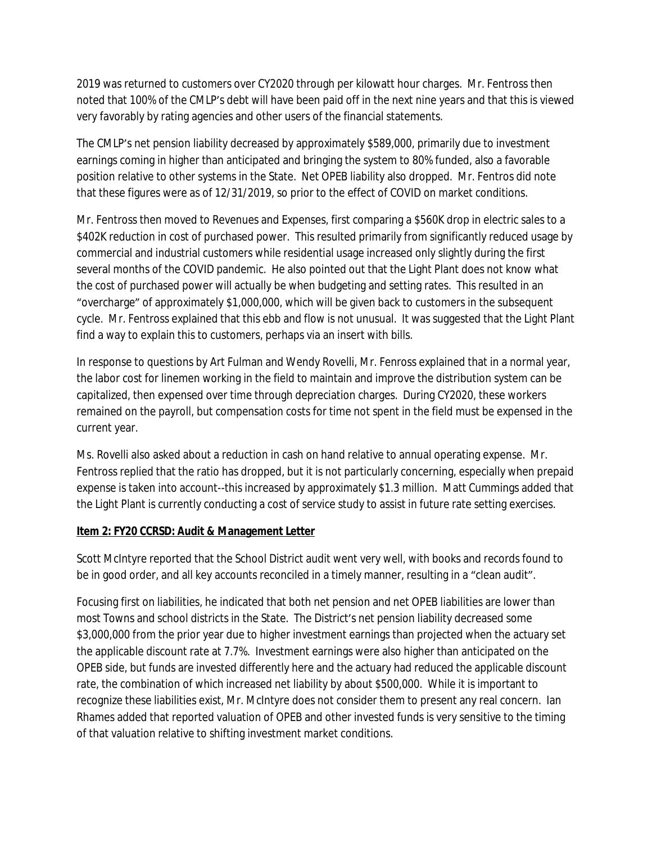2019 was returned to customers over CY2020 through per kilowatt hour charges. Mr. Fentross then noted that 100% of the CMLP's debt will have been paid off in the next nine years and that this is viewed very favorably by rating agencies and other users of the financial statements.

The CMLP's net pension liability decreased by approximately \$589,000, primarily due to investment earnings coming in higher than anticipated and bringing the system to 80% funded, also a favorable position relative to other systems in the State. Net OPEB liability also dropped. Mr. Fentros did note that these figures were as of 12/31/2019, so prior to the effect of COVID on market conditions.

Mr. Fentross then moved to Revenues and Expenses, first comparing a \$560K drop in electric sales to a \$402K reduction in cost of purchased power. This resulted primarily from significantly reduced usage by commercial and industrial customers while residential usage increased only slightly during the first several months of the COVID pandemic. He also pointed out that the Light Plant does not know what the cost of purchased power will actually be when budgeting and setting rates. This resulted in an "overcharge" of approximately \$1,000,000, which will be given back to customers in the subsequent cycle. Mr. Fentross explained that this ebb and flow is not unusual. It was suggested that the Light Plant find a way to explain this to customers, perhaps via an insert with bills.

In response to questions by Art Fulman and Wendy Rovelli, Mr. Fenross explained that in a normal year, the labor cost for linemen working in the field to maintain and improve the distribution system can be capitalized, then expensed over time through depreciation charges. During CY2020, these workers remained on the payroll, but compensation costs for time not spent in the field must be expensed in the current year.

Ms. Rovelli also asked about a reduction in cash on hand relative to annual operating expense. Mr. Fentross replied that the ratio has dropped, but it is not particularly concerning, especially when prepaid expense is taken into account--this increased by approximately \$1.3 million. Matt Cummings added that the Light Plant is currently conducting a cost of service study to assist in future rate setting exercises.

## **Item 2: FY20 CCRSD: Audit & Management Letter**

Scott McIntyre reported that the School District audit went very well, with books and records found to be in good order, and all key accounts reconciled in a timely manner, resulting in a "clean audit".

Focusing first on liabilities, he indicated that both net pension and net OPEB liabilities are lower than most Towns and school districts in the State. The District's net pension liability decreased some \$3,000,000 from the prior year due to higher investment earnings than projected when the actuary set the applicable discount rate at 7.7%. Investment earnings were also higher than anticipated on the OPEB side, but funds are invested differently here and the actuary had reduced the applicable discount rate, the combination of which increased net liability by about \$500,000. While it is important to recognize these liabilities exist, Mr. McIntyre does not consider them to present any real concern. Ian Rhames added that reported valuation of OPEB and other invested funds is very sensitive to the timing of that valuation relative to shifting investment market conditions.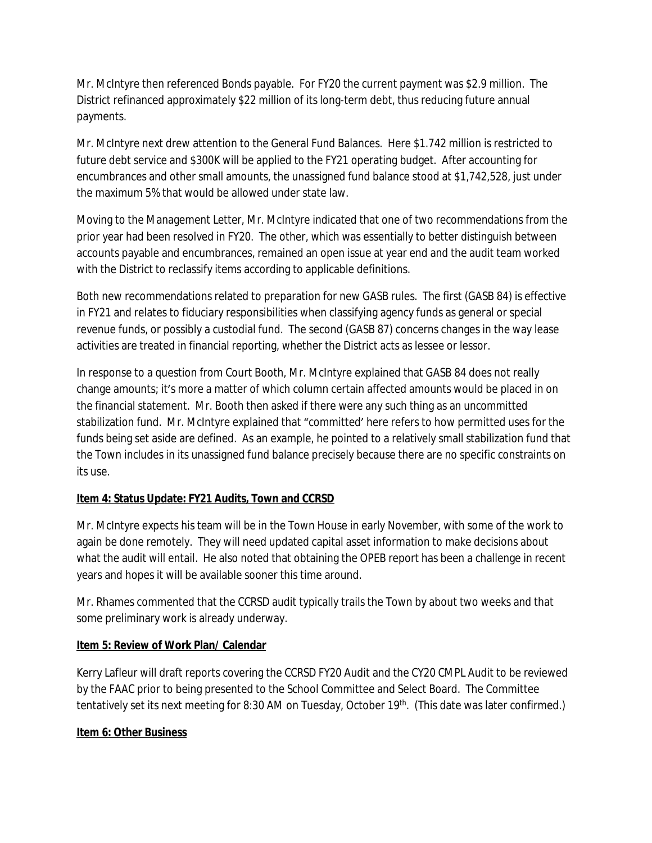Mr. McIntyre then referenced Bonds payable. For FY20 the current payment was \$2.9 million. The District refinanced approximately \$22 million of its long-term debt, thus reducing future annual payments.

Mr. McIntyre next drew attention to the General Fund Balances. Here \$1.742 million is restricted to future debt service and \$300K will be applied to the FY21 operating budget. After accounting for encumbrances and other small amounts, the unassigned fund balance stood at \$1,742,528, just under the maximum 5% that would be allowed under state law.

Moving to the Management Letter, Mr. McIntyre indicated that one of two recommendations from the prior year had been resolved in FY20. The other, which was essentially to better distinguish between accounts payable and encumbrances, remained an open issue at year end and the audit team worked with the District to reclassify items according to applicable definitions.

Both new recommendations related to preparation for new GASB rules. The first (GASB 84) is effective in FY21 and relates to fiduciary responsibilities when classifying agency funds as general or special revenue funds, or possibly a custodial fund. The second (GASB 87) concerns changes in the way lease activities are treated in financial reporting, whether the District acts as lessee or lessor.

In response to a question from Court Booth, Mr. McIntyre explained that GASB 84 does not really change amounts; it's more a matter of which column certain affected amounts would be placed in on the financial statement. Mr. Booth then asked if there were any such thing as an *uncommitted* stabilization fund. Mr. McIntyre explained that "committed' here refers to how permitted uses for the funds being set aside are defined. As an example, he pointed to a relatively small stabilization fund that the Town includes in its unassigned fund balance precisely because there are no specific constraints on its use.

## **Item 4: Status Update: FY21 Audits, Town and CCRSD**

Mr. McIntyre expects his team will be in the Town House in early November, with some of the work to again be done remotely. They will need updated capital asset information to make decisions about what the audit will entail. He also noted that obtaining the OPEB report has been a challenge in recent years and hopes it will be available sooner this time around.

Mr. Rhames commented that the CCRSD audit typically trails the Town by about two weeks and that some preliminary work is already underway.

## **Item 5: Review of Work Plan/ Calendar**

Kerry Lafleur will draft reports covering the CCRSD FY20 Audit and the CY20 CMPL Audit to be reviewed by the FAAC prior to being presented to the School Committee and Select Board. The Committee tentatively set its next meeting for 8:30 AM on Tuesday, October 19<sup>th</sup>. (This date was later confirmed.)

## **Item 6: Other Business**